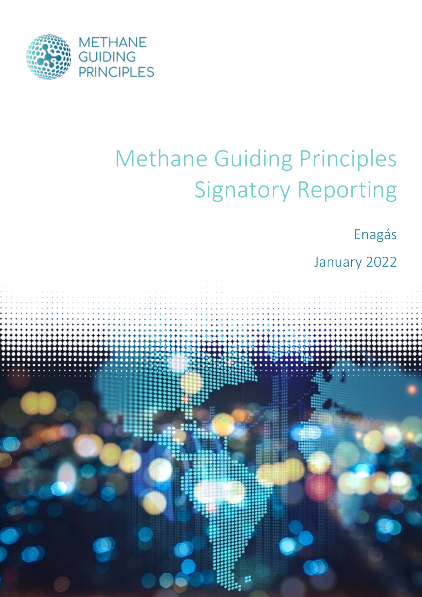

# Methane Guiding Principles Signatory Reporting

Enagás

January 2022

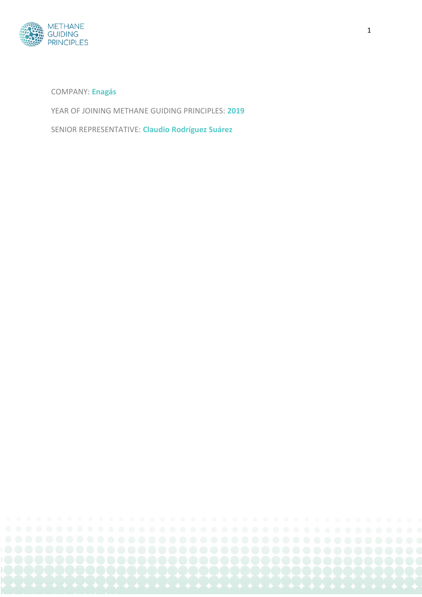

COMPANY: **Enagás**

YEAR OF JOINING METHANE GUIDING PRINCIPLES: **2019**

SENIOR REPRESENTATIVE: **Claudio Rodríguez Suárez**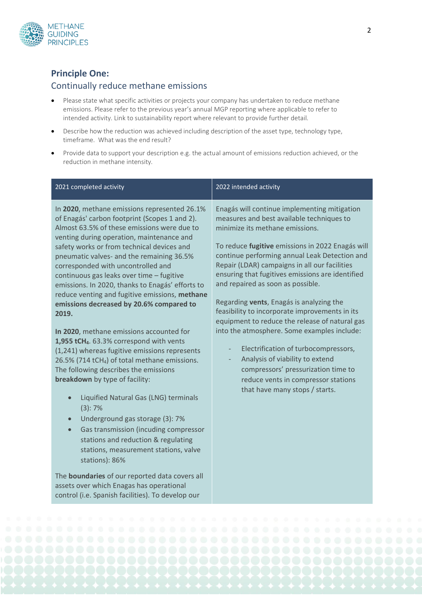

#### **Principle One:**

#### Continually reduce methane emissions

- Please state what specific activities or projects your company has undertaken to reduce methane emissions. Please refer to the previous year's annual MGP reporting where applicable to refer to intended activity. Link to sustainability report where relevant to provide further detail.
- Describe how the reduction was achieved including description of the asset type, technology type, timeframe. What was the end result?
- Provide data to support your description e.g. the actual amount of emissions reduction achieved, or the reduction in methane intensity.

| 2021 completed activity                                                                                                                                                                                                                                                                                                                                                                                                                                                                                                                                                                                                                                                                                                                                                                                                                                                                                                                                                                                                                                                                                                                                                                                                                                            | 2022 intended activity                                                                                                                                                                                                                                                                                                                                                                                                                                                                                                                                                                                                                                                                                                                                                |
|--------------------------------------------------------------------------------------------------------------------------------------------------------------------------------------------------------------------------------------------------------------------------------------------------------------------------------------------------------------------------------------------------------------------------------------------------------------------------------------------------------------------------------------------------------------------------------------------------------------------------------------------------------------------------------------------------------------------------------------------------------------------------------------------------------------------------------------------------------------------------------------------------------------------------------------------------------------------------------------------------------------------------------------------------------------------------------------------------------------------------------------------------------------------------------------------------------------------------------------------------------------------|-----------------------------------------------------------------------------------------------------------------------------------------------------------------------------------------------------------------------------------------------------------------------------------------------------------------------------------------------------------------------------------------------------------------------------------------------------------------------------------------------------------------------------------------------------------------------------------------------------------------------------------------------------------------------------------------------------------------------------------------------------------------------|
| In 2020, methane emissions represented 26.1%<br>of Enagás' carbon footprint (Scopes 1 and 2).<br>Almost 63.5% of these emissions were due to<br>venting during operation, maintenance and<br>safety works or from technical devices and<br>pneumatic valves- and the remaining 36.5%<br>corresponded with uncontrolled and<br>continuous gas leaks over time - fugitive<br>emissions. In 2020, thanks to Enagás' efforts to<br>reduce venting and fugitive emissions, methane<br>emissions decreased by 20.6% compared to<br>2019.<br>In 2020, methane emissions accounted for<br>1,955 tCH <sub>4</sub> . 63.3% correspond with vents<br>(1,241) whereas fugitive emissions represents<br>26.5% (714 tCH <sub>4</sub> ) of total methane emissions.<br>The following describes the emissions<br>breakdown by type of facility:<br>Liquified Natural Gas (LNG) terminals<br>$\bullet$<br>(3): 7%<br>Underground gas storage (3): 7%<br>$\bullet$<br>Gas transmission (incuding compressor<br>$\bullet$<br>stations and reduction & regulating<br>stations, measurement stations, valve<br>stations): 86%<br>The <b>boundaries</b> of our reported data covers all<br>assets over which Enagas has operational<br>control (i.e. Spanish facilities). To develop our | Enagás will continue implementing mitigation<br>measures and best available techniques to<br>minimize its methane emissions.<br>To reduce fugitive emissions in 2022 Enagás will<br>continue performing annual Leak Detection and<br>Repair (LDAR) campaigns in all our facilities<br>ensuring that fugitives emissions are identified<br>and repaired as soon as possible.<br>Regarding vents, Enagás is analyzing the<br>feasibility to incorporate improvements in its<br>equipment to reduce the release of natural gas<br>into the atmosphere. Some examples include:<br>Electrification of turbocompressors,<br>Analysis of viability to extend<br>compressors' pressurization time to<br>reduce vents in compressor stations<br>that have many stops / starts. |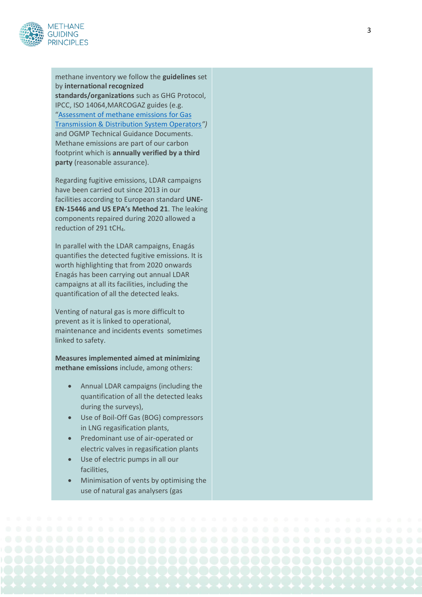

methane inventory we follow the **guidelines** set by **international recognized** 

**standards/organizations** such as GHG Protocol, IPCC, ISO 14064 ,MARCOGAZ guides (e.g. "[Assessment of methane emissions for Gas](https://www.marcogaz.org/publications-1/documents/)  [Transmission & Distribution System Operators](https://www.marcogaz.org/publications-1/documents/)*")* and OGMP Technical Guidance Documents. Methane emissions are part of our carbon footprint which is **annually verified by a third party** (reasonable assurance).

Regarding fugitive emissions, LDAR campaign s have been carried out since 2013 in our facilities according to European standard **UNE - EN -15446 and US EPA's Method 21**. The leaking components repaired during 2020 allowed a reduction of 291 tCH 4.

In parallel with the LDAR campaigns, Enagás quantifies the detected fugitive emissions. It is worth highlighting that from 2020 onwards Enagás has been carrying out annual LDAR campaigns at all its facilities, including the quantification of all the detected leaks.

Venting of natural gas is more difficult to prevent as it is linked to operational, maintenance and incidents events sometimes linked to safety .

**Measures implemented aimed at minimizing methane emissions** include, among others:

- Annual LDAR campaigns (including the quantification of all the detected leaks during the surveys) ,
- Use of Boil-Off Gas (BOG) compressors in LNG regasification plants ,
- Predominant use of air -operated or electric valves in regasification plants
- Use of electric pump s in all our facilities ,
- Minimisation of vents by optimi sing the use of natural gas analysers (gas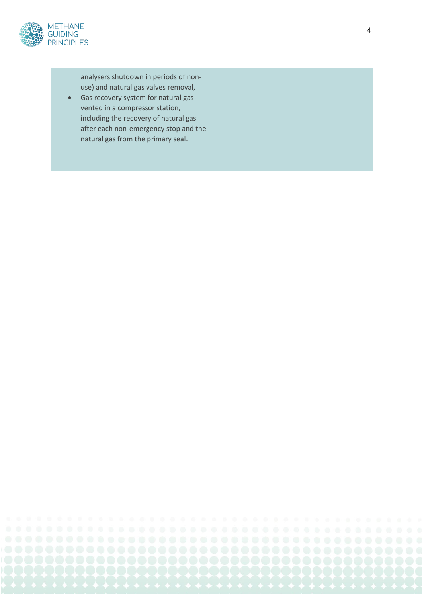

analysers shutdown in periods of non use) and natural gas valves removal ,

• Gas recovery system for natural gas vented in a compressor station , including the recovery of natural gas after each non -emergency stop and the natural gas from the primary seal.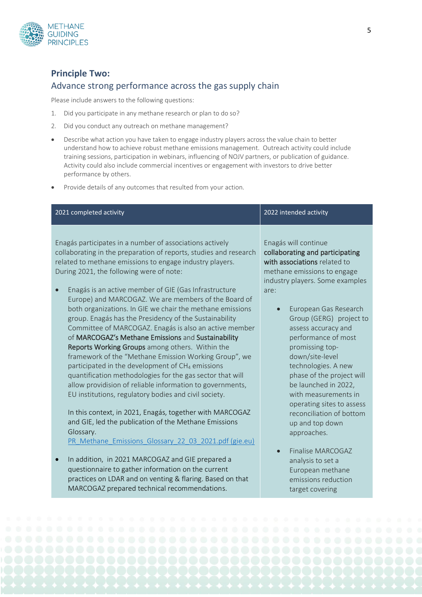

## **Principle Two:**  Advance strong performance across the gas supply chain

Please include answers to the following questions:

- 1. Did you participate in any methane research or plan to do so?
- 2. Did you conduct any outreach on methane management?
- Describe what action you have taken to engage industry players across the value chain to better understand how to achieve robust methane emissions management. Outreach activity could include training sessions, participation in webinars, influencing of NOJV partners, or publication of guidance. Activity could also include commercial incentives or engagement with investors to drive better performance by others.

5

• Provide details of any outcomes that resulted from your action.

MARCOGAZ prepared technical recommendations.

| 2021 completed activity                                                                                                                                                                                                                                                                                                                                                                                 | 2022 intended activity                                                                                                                                            |
|---------------------------------------------------------------------------------------------------------------------------------------------------------------------------------------------------------------------------------------------------------------------------------------------------------------------------------------------------------------------------------------------------------|-------------------------------------------------------------------------------------------------------------------------------------------------------------------|
| Enagás participates in a number of associations actively<br>collaborating in the preparation of reports, studies and research<br>related to methane emissions to engage industry players.<br>During 2021, the following were of note:<br>Enagás is an active member of GIE (Gas Infrastructure                                                                                                          | Enagás will continue<br>collaborating and participating<br>with associations related to<br>methane emissions to engage<br>industry players. Some examples<br>are: |
| Europe) and MARCOGAZ. We are members of the Board of<br>both organizations. In GIE we chair the methane emissions<br>group. Enagás has the Presidency of the Sustainability<br>Committee of MARCOGAZ. Enagás is also an active member<br>of MARCOGAZ's Methane Emissions and Sustainability<br>Reports Working Groups among others. Within the<br>framework of the "Methane Emission Working Group", we | European Gas Research<br>Group (GERG) project to<br>assess accuracy and<br>performance of most<br>promissing top-<br>down/site-level                              |
| participated in the development of CH <sub>4</sub> emissions<br>quantification methodologies for the gas sector that will<br>allow providision of reliable information to governments,<br>EU institutions, regulatory bodies and civil society.<br>In this context, in 2021, Enagás, together with MARCOGAZ                                                                                             | technologies. A new<br>phase of the project will<br>be launched in 2022,<br>with measurements in<br>operating sites to assess<br>reconciliation of bottom         |
| and GIE, led the publication of the Methane Emissions<br>Glossary.<br>PR_Methane_Emissions_Glossary_22_03_2021.pdf (gie.eu)                                                                                                                                                                                                                                                                             | up and top down<br>approaches.<br>Finalise MARCOGAZ                                                                                                               |
| In addition, in 2021 MARCOGAZ and GIE prepared a<br>questionnaire to gather information on the current<br>practices on LDAR and on venting & flaring. Based on that                                                                                                                                                                                                                                     | analysis to set a<br>European methane<br>emissions reduction                                                                                                      |

target covering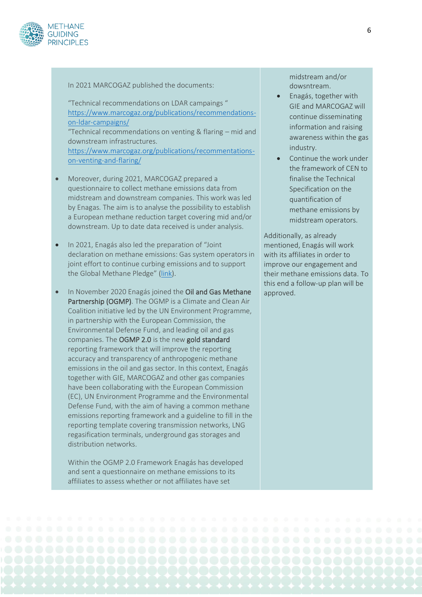

#### In 2021 MARCOGAZ published the documents:

"Technical recommendations on LDAR campaings " [https://www.marcogaz.org/publications/recommendations](https://www.marcogaz.org/publications/recommendations-on-ldar-campaigns/)[on-ldar-campaigns/](https://www.marcogaz.org/publications/recommendations-on-ldar-campaigns/)

"Technical recommendations on venting & flaring – mid and downstream infrastructures.

[https://www.marcogaz.org/publications/recommentations](https://www.marcogaz.org/publications/recommentations-on-venting-and-flaring/)[on-venting-and-flaring/](https://www.marcogaz.org/publications/recommentations-on-venting-and-flaring/)

- Moreover, during 2021, MARCOGAZ prepared a questionnaire to collect methane emissions data from midstream and downstream companies. This work was led by Enagas. The aim is to analyse the possibility to establish a European methane reduction target covering mid and/or downstream. Up to date data received is under analysis.
- In 2021, Enagás also led the preparation of "Joint declaration on methane emissions: Gas system operators in joint effort to continue curbing emissions and to support the Global Methane Pledge" [\(link\)](https://www.gie.eu/events1/email/download/2021/Joint_Declaration_CH4_Emissions.pdf).
- In November 2020 Enagás joined the Oil and Gas Methane Partnership (OGMP). The OGMP is a Climate and Clean Air Coalition initiative led by the UN Environment Programme, in partnership with the European Commission, the Environmental Defense Fund, and leading oil and gas companies. The OGMP 2.0 is the new gold standard reporting framework that will improve the reporting accuracy and transparency of anthropogenic methane emissions in the oil and gas sector. In this context, Enagás together with GIE, MARCOGAZ and other gas companies have been collaborating with the European Commission (EC), UN Environment Programme and the Environmental Defense Fund, with the aim of having a common methane emissions reporting framework and a guideline to fill in the reporting template covering transmission networks, LNG regasification terminals, underground gas storages and distribution networks.

Within the OGMP 2.0 Framework Enagás has developed and sent a questionnaire on methane emissions to its affiliates to assess whether or not affiliates have set

midstream and/or dowsntream.

- Enagás, together with GIE and MARCOGAZ will continue disseminating information and raising awareness within the gas industry.
- Continue the work under the framework of CEN to finalise the Technical Specification on the quantification of methane emissions by midstream operators.

Additionally, as already mentioned, Enagás will work with its affiliates in order to improve our engagement and their methane emissions data. To this end a follow-up plan will be approved.

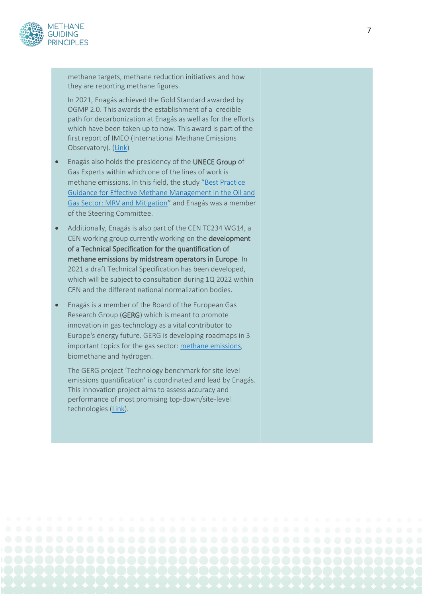

methane targets, methane reduction initiatives and how they are reporting methane figures.

In 2021, Enagás achieved the Gold Standard awarded by OGMP 2.0. This awards the establishment of a credible path for decarbonization at Enagás as well as for the efforts which have been taken up to now. This award is part of the first report of IMEO (International Methane Emissions Observatory). [\(Link\)](https://www.intranet.enagas.eng/irj/intranet)

- Enagás also holds the presidency of the UNECE Group of Gas Experts within which one of the lines of work is methane emissions. In this field, the study "[Best Practice](http://www.unece.org/energywelcome/areas-of-work/methane-management/activities/methane-management-in-extractive-industries/oil-and-gas-sector/best-practice-guidance/model-framework-for-reducing-methane-emissions-along-the-gas-value-chain.html)  [Guidance for Effective Methane Management in the Oil and](http://www.unece.org/energywelcome/areas-of-work/methane-management/activities/methane-management-in-extractive-industries/oil-and-gas-sector/best-practice-guidance/model-framework-for-reducing-methane-emissions-along-the-gas-value-chain.html)  [Gas Sector: MRV and Mitigation](http://www.unece.org/energywelcome/areas-of-work/methane-management/activities/methane-management-in-extractive-industries/oil-and-gas-sector/best-practice-guidance/model-framework-for-reducing-methane-emissions-along-the-gas-value-chain.html)" and Enagás was a member of the Steering Committee.
- Additionally, Enagás is also part of the CEN TC234 WG14, a CEN working group currently working on the development of a Technical Specification for the quantification of methane emissions by midstream operators in Europe. In 2021 a draft Technical Specification has been developed, which will be subject to consultation during 1Q 2022 within CEN and the different national normalization bodies.
- Enagás is a member of the Board of the European Gas Research Group (GERG) which is meant to promote innovation in gas technology as a vital contributor to Europe's energy future. GERG is developing roadmaps in 3 important topics for the gas sector: [methane emissions,](https://www.gerg.eu/project/methane-emissions/) biomethane and hydrogen.

The GERG project 'Technology benchmark for site level emissions quantification' is coordinated and lead by Enagás. This innovation project aims to assess accuracy and performance of most promising top-down/site-level technologies [\(Link\)](https://www.enagas.es/enagas/es/Comunicacion/NotasPrensa/13_10_2021_NP_Proyecto_GERG_y_Enag%C3%A1s_reducci%C3%B3n_metano).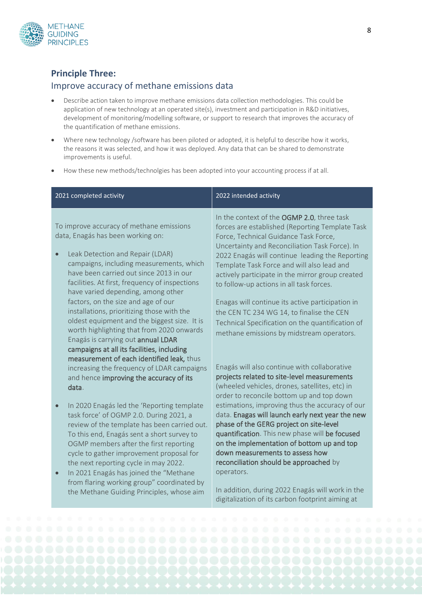

#### **Principle Three:**

#### Improve accuracy of methane emissions data

- Describe action taken to improve methane emissions data collection methodologies. This could be application of new technology at an operated site(s), investment and participation in R&D initiatives, development of monitoring/modelling software, or support to research that improves the accuracy of the quantification of methane emissions.
- Where new technology /software has been piloted or adopted, it is helpful to describe how it works, the reasons it was selected, and how it was deployed. Any data that can be shared to demonstrate improvements is useful.
- How these new methods/technolgies has been adopted into your accounting process if at all.

| 2021 completed activity                                                                                                                                                                                                                                                                                                                                                                                                                                                                                                                                                                                                          | 2022 intended activity                                                                                                                                                                                                                                                                                                                                                                                                                                                                                                                                                                      |
|----------------------------------------------------------------------------------------------------------------------------------------------------------------------------------------------------------------------------------------------------------------------------------------------------------------------------------------------------------------------------------------------------------------------------------------------------------------------------------------------------------------------------------------------------------------------------------------------------------------------------------|---------------------------------------------------------------------------------------------------------------------------------------------------------------------------------------------------------------------------------------------------------------------------------------------------------------------------------------------------------------------------------------------------------------------------------------------------------------------------------------------------------------------------------------------------------------------------------------------|
| To improve accuracy of methane emissions<br>data, Enagás has been working on:<br>Leak Detection and Repair (LDAR)<br>$\bullet$<br>campaigns, including measurements, which<br>have been carried out since 2013 in our<br>facilities. At first, frequency of inspections<br>have varied depending, among other<br>factors, on the size and age of our<br>installations, prioritizing those with the<br>oldest equipment and the biggest size. It is<br>worth highlighting that from 2020 onwards<br>Enagás is carrying out annual LDAR<br>campaigns at all its facilities, including<br>measurement of each identified leak, thus | In the context of the OGMP 2.0, three task<br>forces are established (Reporting Template Task<br>Force, Technical Guidance Task Force,<br>Uncertainty and Reconciliation Task Force). In<br>2022 Enagás will continue leading the Reporting<br>Template Task Force and will also lead and<br>actively participate in the mirror group created<br>to follow-up actions in all task forces.<br>Enagas will continue its active participation in<br>the CEN TC 234 WG 14, to finalise the CEN<br>Technical Specification on the quantification of<br>methane emissions by midstream operators. |
| increasing the frequency of LDAR campaigns<br>and hence improving the accuracy of its<br>data.                                                                                                                                                                                                                                                                                                                                                                                                                                                                                                                                   | Enagás will also continue with collaborative<br>projects related to site-level measurements<br>(wheeled vehicles, drones, satellites, etc) in<br>order to reconcile bottom up and top down                                                                                                                                                                                                                                                                                                                                                                                                  |
| In 2020 Enagás led the 'Reporting template<br>$\bullet$<br>task force' of OGMP 2.0. During 2021, a<br>review of the template has been carried out.<br>To this end, Enagás sent a short survey to<br>OGMP members after the first reporting<br>cycle to gather improvement proposal for<br>the next reporting cycle in may 2022.<br>In 2021 Enagás has joined the "Methane<br>$\bullet$                                                                                                                                                                                                                                           | estimations, improving thus the accuracy of our<br>data. Enagas will launch early next year the new<br>phase of the GERG project on site-level<br>quantification. This new phase will be focused<br>on the implementation of bottom up and top<br>down measurements to assess how<br>reconciliation should be approached by<br>operators.                                                                                                                                                                                                                                                   |
| from flaring working group" coordinated by<br>the Methane Guiding Principles, whose aim                                                                                                                                                                                                                                                                                                                                                                                                                                                                                                                                          | In addition, during 2022 Enagás will work in the                                                                                                                                                                                                                                                                                                                                                                                                                                                                                                                                            |

In addition, during 2022 Enagás will work in the digitalization of its carbon footprint aiming at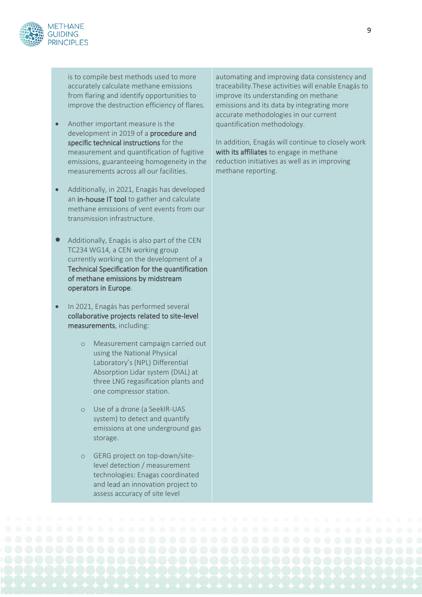

is to compile best methods used to more accurately calculate methane emissions from flaring and identify opportunities to improve the destruction efficiency of flares.

- Another important measure is the development in 2019 of a procedure and specific technical instructions for the measurement and quantification of fugitive emissions, guaranteeing homogeneity in the measurements across all our facilities.
- Additionally, in 2021, Enagás has developed an in-house IT tool to gather and calculate methane emissions of vent events from our transmission infrastructure.
- Additionally, Enagás is also part of the CEN TC234 WG14, a CEN working group currently working on the development of a Technical Specification for the quantification of methane emissions by midstream operators in Europe.
- In 2021, Enagás has performed several collaborative projects related to site-level measurements, including:
	- o Measurement campaign carried out using the National Physical Laboratory's (NPL) Differential Absorption Lidar system (DIAL) at three LNG regasification plants and one compressor station.
	- Use of a drone (a SeekIR-UAS system) to detect and quantify emissions at one underground gas storage.
	- o GERG project on top-down/sitelevel detection / measurement technologies: Enagas coordinated and lead an innovation project to assess accuracy of site level

automating and improving data consistency and traceability.These activities will enable Enagás to improve its understanding on methane emissions and its data by integrating more accurate methodologies in our current quantification methodology.

In addition, Enagás will continue to closely work with its affiliates to engage in methane reduction initiatives as well as in improving methane reporting.

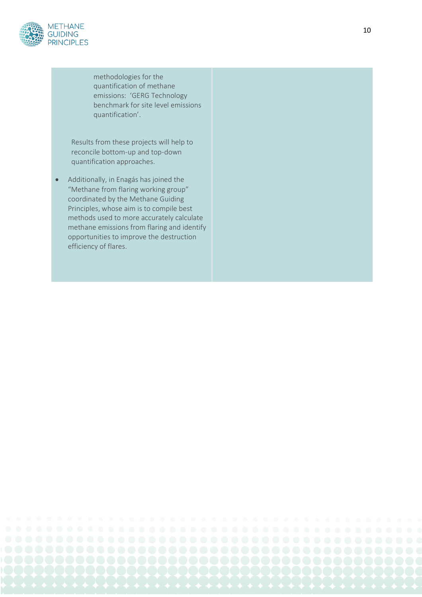

methodologies for the quantification of methane emissions: 'GERG Technology benchmark for site level emissions quantification'.

Results from these projects will help to recon cile bottom -up and top -down quantification approaches.

• Additionally, in Enagás has joined the "Methane from flaring working group" coordinated by the Methane Guidin g Principles , whose aim is to compile best methods used to more accurately calculate methane emissions from flaring and identify opportunities to improve the destruction efficiency of flares.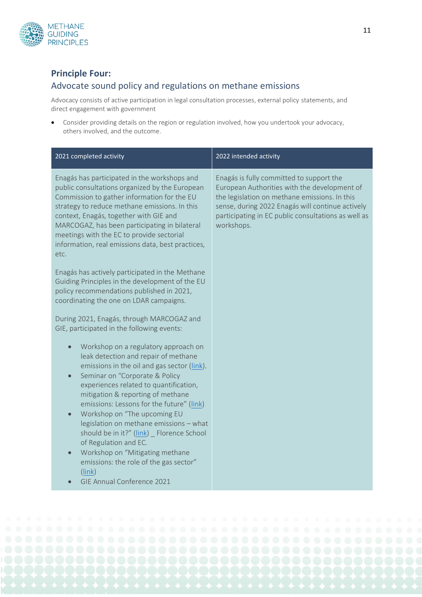

#### **Principle Four:**

#### Advocate sound policy and regulations on methane emissions

Advocacy consists of active participation in legal consultation processes, external policy statements, and direct engagement with government

• Consider providing details on the region or regulation involved, how you undertook your advocacy, others involved, and the outcome.

| 2021 completed activity                                                                                                                                                                                                                                                                                                                                                                                                                                                                                                                                                                    | 2022 intended activity                                                                                                                                                                                                                                             |
|--------------------------------------------------------------------------------------------------------------------------------------------------------------------------------------------------------------------------------------------------------------------------------------------------------------------------------------------------------------------------------------------------------------------------------------------------------------------------------------------------------------------------------------------------------------------------------------------|--------------------------------------------------------------------------------------------------------------------------------------------------------------------------------------------------------------------------------------------------------------------|
| Enagás has participated in the workshops and<br>public consultations organized by the European<br>Commission to gather information for the EU<br>strategy to reduce methane emissions. In this<br>context, Enagás, together with GIE and<br>MARCOGAZ, has been participating in bilateral<br>meetings with the EC to provide sectorial<br>information, real emissions data, best practices,<br>etc.                                                                                                                                                                                        | Enagás is fully committed to support the<br>European Authorities with the development of<br>the legislation on methane emissions. In this<br>sense, during 2022 Enagás will continue actively<br>participating in EC public consultations as well as<br>workshops. |
| Enagás has actively participated in the Methane<br>Guiding Principles in the development of the EU<br>policy recommendations published in 2021,<br>coordinating the one on LDAR campaigns.                                                                                                                                                                                                                                                                                                                                                                                                 |                                                                                                                                                                                                                                                                    |
| During 2021, Enagás, through MARCOGAZ and<br>GIE, participated in the following events:                                                                                                                                                                                                                                                                                                                                                                                                                                                                                                    |                                                                                                                                                                                                                                                                    |
| Workshop on a regulatory approach on<br>$\bullet$<br>leak detection and repair of methane<br>emissions in the oil and gas sector (link).<br>Seminar on "Corporate & Policy<br>$\bullet$<br>experiences related to quantification,<br>mitigation & reporting of methane<br>emissions: Lessons for the future" (link)<br>Workshop on "The upcoming EU<br>legislation on methane emissions - what<br>should be in it?" (link) _ Florence School<br>of Regulation and EC.<br>Workshop on "Mitigating methane<br>emissions: the role of the gas sector"<br>(link)<br>GIE Annual Conference 2021 |                                                                                                                                                                                                                                                                    |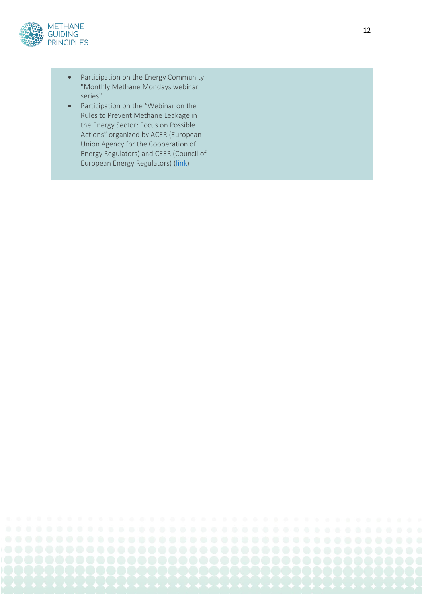

- Participation on the Energy Community: "Monthly Methane Mondays webinar series"
- Participation on the "Webinar on the Rules to Prevent Methane Leakage in the Energy Sector: Focus on Possible Actions" organized by ACER (European Union Agency for the Cooperation of Energy Regulators) and CEER (Council of European Energy Regulators) [\(link](https://nra.acer.europa.eu/Events/ACER-CEER-Webinar-presenting-the-White-Paper-on-Methane-Emissions/Documents/20210914_Draft_Agenda.pdf))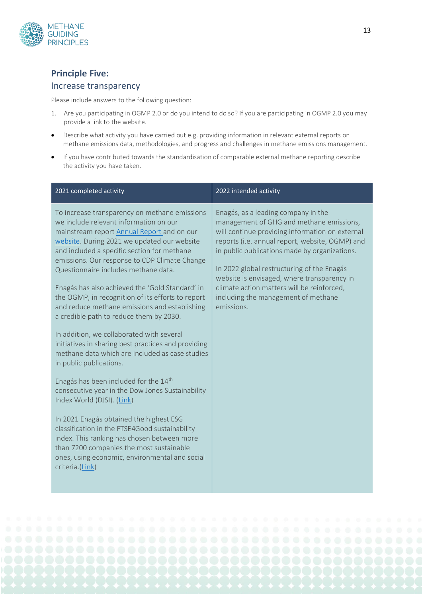

## **Principle Five:**

#### Increase transparency

Please include answers to the following question:

- 1. Are you participating in OGMP 2.0 or do you intend to do so? If you are participating in OGMP 2.0 you may provide a link to the website.
- Describe what activity you have carried out e.g. providing information in relevant external reports on methane emissions data, methodologies, and progress and challenges in methane emissions management.
- If you have contributed towards the standardisation of comparable external methane reporting describe the activity you have taken.

| 2021 completed activity                                                                                                                                                                                                                                                                                                                                                                                                                                                                                                                                                                                                                                                                                                                                                                                                                                                                                                                                                                                                                                                                                    | 2022 intended activity                                                                                                                                                                                                                                                                                                                                                                                                                 |
|------------------------------------------------------------------------------------------------------------------------------------------------------------------------------------------------------------------------------------------------------------------------------------------------------------------------------------------------------------------------------------------------------------------------------------------------------------------------------------------------------------------------------------------------------------------------------------------------------------------------------------------------------------------------------------------------------------------------------------------------------------------------------------------------------------------------------------------------------------------------------------------------------------------------------------------------------------------------------------------------------------------------------------------------------------------------------------------------------------|----------------------------------------------------------------------------------------------------------------------------------------------------------------------------------------------------------------------------------------------------------------------------------------------------------------------------------------------------------------------------------------------------------------------------------------|
| To increase transparency on methane emissions<br>we include relevant information on our<br>mainstream report Annual Report and on our<br>website. During 2021 we updated our website<br>and included a specific section for methane<br>emissions. Our response to CDP Climate Change<br>Questionnaire includes methane data.<br>Enagás has also achieved the 'Gold Standard' in<br>the OGMP, in recognition of its efforts to report<br>and reduce methane emissions and establishing<br>a credible path to reduce them by 2030.<br>In addition, we collaborated with several<br>initiatives in sharing best practices and providing<br>methane data which are included as case studies<br>in public publications.<br>Enagás has been included for the 14th<br>consecutive year in the Dow Jones Sustainability<br>Index World (DJSI). (Link)<br>In 2021 Enagás obtained the highest ESG<br>classification in the FTSE4Good sustainability<br>index. This ranking has chosen between more<br>than 7200 companies the most sustainable<br>ones, using economic, environmental and social<br>criteria.(Link) | Enagás, as a leading company in the<br>management of GHG and methane emissions,<br>will continue providing information on external<br>reports (i.e. annual report, website, OGMP) and<br>in public publications made by organizations.<br>In 2022 global restructuring of the Enagás<br>website is envisaged, where transparency in<br>climate action matters will be reinforced,<br>including the management of methane<br>emissions. |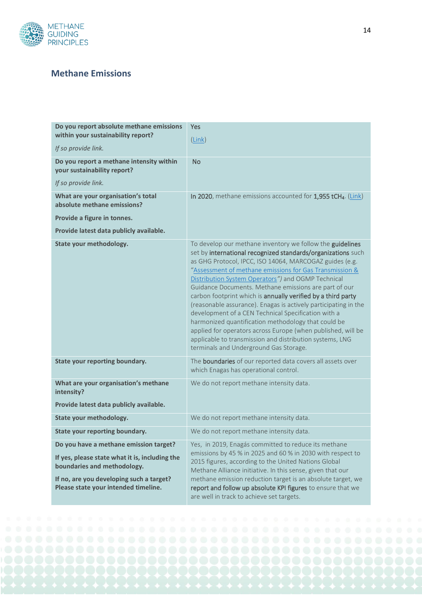

## **Methane Emissions**

| Do you report absolute methane emissions<br>within your sustainability report?   | Yes                                                                                                                                                                                                                                                                                                                                                                                                                                                                                                                                                                                                                                                                                                                                                                                   |
|----------------------------------------------------------------------------------|---------------------------------------------------------------------------------------------------------------------------------------------------------------------------------------------------------------------------------------------------------------------------------------------------------------------------------------------------------------------------------------------------------------------------------------------------------------------------------------------------------------------------------------------------------------------------------------------------------------------------------------------------------------------------------------------------------------------------------------------------------------------------------------|
| If so provide link.                                                              | $(\underline{Link})$                                                                                                                                                                                                                                                                                                                                                                                                                                                                                                                                                                                                                                                                                                                                                                  |
| Do you report a methane intensity within<br>your sustainability report?          | <b>No</b>                                                                                                                                                                                                                                                                                                                                                                                                                                                                                                                                                                                                                                                                                                                                                                             |
| If so provide link.                                                              |                                                                                                                                                                                                                                                                                                                                                                                                                                                                                                                                                                                                                                                                                                                                                                                       |
| What are your organisation's total<br>absolute methane emissions?                | In 2020, methane emissions accounted for 1,955 tCH4. (Link)                                                                                                                                                                                                                                                                                                                                                                                                                                                                                                                                                                                                                                                                                                                           |
| Provide a figure in tonnes.                                                      |                                                                                                                                                                                                                                                                                                                                                                                                                                                                                                                                                                                                                                                                                                                                                                                       |
| Provide latest data publicly available.                                          |                                                                                                                                                                                                                                                                                                                                                                                                                                                                                                                                                                                                                                                                                                                                                                                       |
| State your methodology.                                                          | To develop our methane inventory we follow the guidelines<br>set by international recognized standards/organizations such<br>as GHG Protocol, IPCC, ISO 14064, MARCOGAZ guides (e.g.<br>"Assessment of methane emissions for Gas Transmission &<br>Distribution System Operators") and OGMP Technical<br>Guidance Documents. Methane emissions are part of our<br>carbon footprint which is annually verified by a third party<br>(reasonable assurance). Enagas is actively participating in the<br>development of a CEN Technical Specification with a<br>harmonized quantification methodology that could be<br>applied for operators across Europe (when published, will be<br>applicable to transmission and distribution systems, LNG<br>terminals and Underground Gas Storage. |
| <b>State your reporting boundary.</b>                                            | The <b>boundaries</b> of our reported data covers all assets over<br>which Enagas has operational control.                                                                                                                                                                                                                                                                                                                                                                                                                                                                                                                                                                                                                                                                            |
| What are your organisation's methane<br>intensity?                               | We do not report methane intensity data.                                                                                                                                                                                                                                                                                                                                                                                                                                                                                                                                                                                                                                                                                                                                              |
| Provide latest data publicly available.                                          |                                                                                                                                                                                                                                                                                                                                                                                                                                                                                                                                                                                                                                                                                                                                                                                       |
| State your methodology.                                                          | We do not report methane intensity data.                                                                                                                                                                                                                                                                                                                                                                                                                                                                                                                                                                                                                                                                                                                                              |
| State your reporting boundary.                                                   | We do not report methane intensity data.                                                                                                                                                                                                                                                                                                                                                                                                                                                                                                                                                                                                                                                                                                                                              |
| Do you have a methane emission target?                                           | Yes, in 2019, Enagás committed to reduce its methane<br>emissions by 45 % in 2025 and 60 % in 2030 with respect to                                                                                                                                                                                                                                                                                                                                                                                                                                                                                                                                                                                                                                                                    |
| If yes, please state what it is, including the<br>boundaries and methodology.    | 2015 figures, according to the United Nations Global<br>Methane Alliance initiative. In this sense, given that our                                                                                                                                                                                                                                                                                                                                                                                                                                                                                                                                                                                                                                                                    |
| If no, are you developing such a target?<br>Please state your intended timeline. | methane emission reduction target is an absolute target, we<br>report and follow up absolute KPI figures to ensure that we<br>are well in track to achieve set targets.                                                                                                                                                                                                                                                                                                                                                                                                                                                                                                                                                                                                               |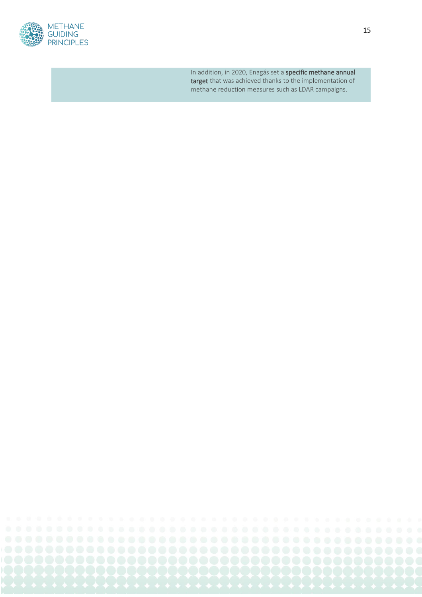

In addition, in 2020, Enagás set a specific methane annual target that was achieved thanks to the implementation of methane reduction measures such as LDAR campaigns.